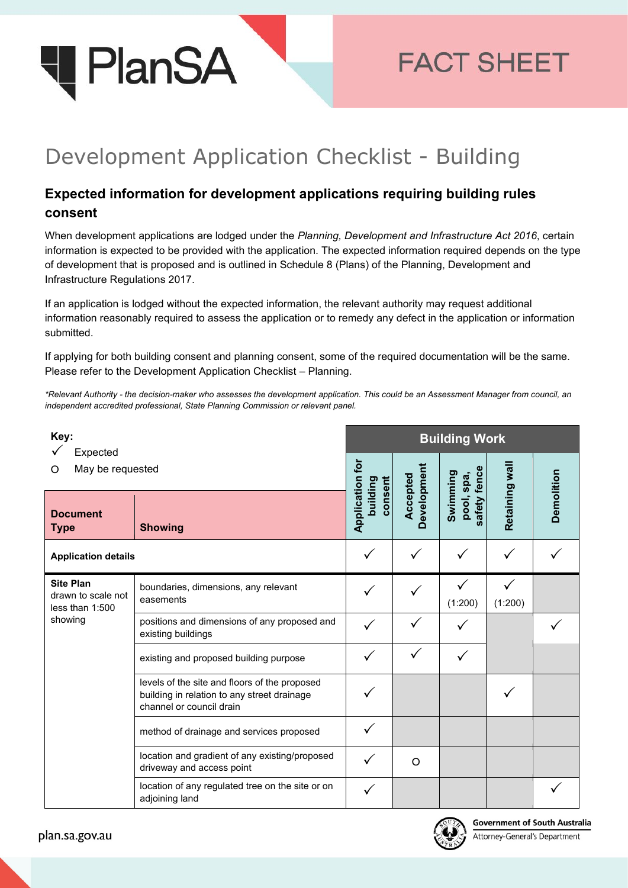

## **FACT SHEET**

## Development Application Checklist - Building

## **Expected information for development applications requiring building rules consent**

When development applications are lodged under the *Planning, Development and Infrastructure Act 2016*, certain information is expected to be provided with the application. The expected information required depends on the type of development that is proposed and is outlined in Schedule 8 (Plans) of the Planning, Development and Infrastructure Regulations 2017.

If an application is lodged without the expected information, the relevant authority may request additional information reasonably required to assess the application or to remedy any defect in the application or information submitted.

If applying for both building consent and planning consent, some of the required documentation will be the same. Please refer to the Development Application Checklist – Planning.

*\*Relevant Authority - the decision-maker who assesses the development application. This could be an Assessment Manager from council, an independent accredited professional, State Planning Commission or relevant panel.*

| Key:                                                                 |                                                                                                                          | <b>Building Work</b>                   |                         |                                  |                |            |  |
|----------------------------------------------------------------------|--------------------------------------------------------------------------------------------------------------------------|----------------------------------------|-------------------------|----------------------------------|----------------|------------|--|
| Expected<br>May be requested<br>O                                    |                                                                                                                          |                                        |                         | fence                            |                |            |  |
| <b>Document</b><br><b>Type</b>                                       | <b>Showing</b>                                                                                                           | Application for<br>consent<br>building | Development<br>Accepted | Swimming<br>pool, spa,<br>safety | Retaining wall | Demolition |  |
| <b>Application details</b>                                           |                                                                                                                          |                                        |                         |                                  |                |            |  |
| <b>Site Plan</b><br>drawn to scale not<br>less than 1:500<br>showing | boundaries, dimensions, any relevant<br>easements                                                                        |                                        |                         | (1:200)                          | (1:200)        |            |  |
|                                                                      | positions and dimensions of any proposed and<br>existing buildings                                                       |                                        |                         |                                  |                |            |  |
|                                                                      | existing and proposed building purpose                                                                                   |                                        |                         |                                  |                |            |  |
|                                                                      | levels of the site and floors of the proposed<br>building in relation to any street drainage<br>channel or council drain |                                        |                         |                                  |                |            |  |
|                                                                      | method of drainage and services proposed                                                                                 |                                        |                         |                                  |                |            |  |
|                                                                      | location and gradient of any existing/proposed<br>driveway and access point                                              |                                        | O                       |                                  |                |            |  |
|                                                                      | location of any regulated tree on the site or on<br>adjoining land                                                       |                                        |                         |                                  |                |            |  |